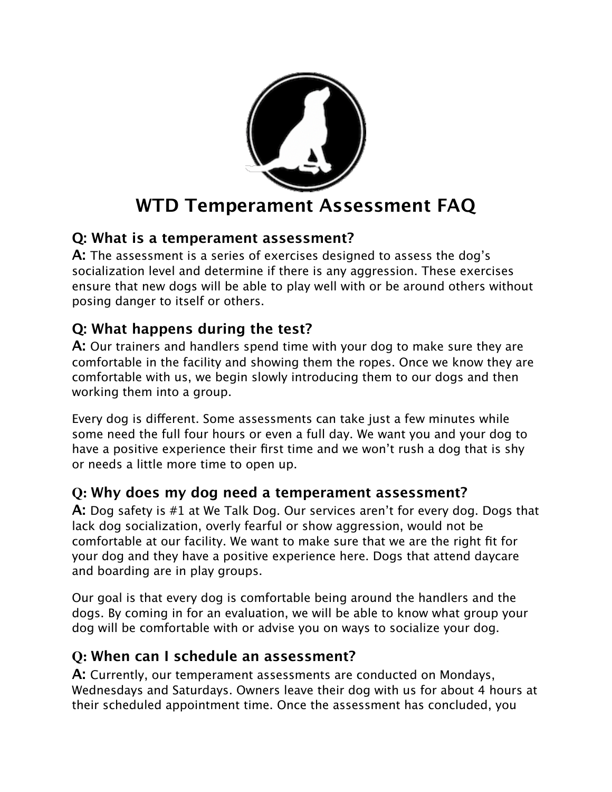

## **Q: What is a temperament assessment?**

**A:** The assessment is a series of exercises designed to assess the dog's socialization level and determine if there is any aggression. These exercises ensure that new dogs will be able to play well with or be around others without posing danger to itself or others.

# **Q: What happens during the test?**

**A:** Our trainers and handlers spend time with your dog to make sure they are comfortable in the facility and showing them the ropes. Once we know they are comfortable with us, we begin slowly introducing them to our dogs and then working them into a group.

Every dog is different. Some assessments can take just a few minutes while some need the full four hours or even a full day. We want you and your dog to have a positive experience their first time and we won't rush a dog that is shy or needs a little more time to open up.

## **Q: Why does my dog need a temperament assessment?**

**A:** Dog safety is #1 at We Talk Dog. Our services aren't for every dog. Dogs that lack dog socialization, overly fearful or show aggression, would not be comfortable at our facility. We want to make sure that we are the right fit for your dog and they have a positive experience here. Dogs that attend daycare and boarding are in play groups.

Our goal is that every dog is comfortable being around the handlers and the dogs. By coming in for an evaluation, we will be able to know what group your dog will be comfortable with or advise you on ways to socialize your dog.

# **Q: When can I schedule an assessment?**

**A:** Currently, our temperament assessments are conducted on Mondays, Wednesdays and Saturdays. Owners leave their dog with us for about 4 hours at their scheduled appointment time. Once the assessment has concluded, you